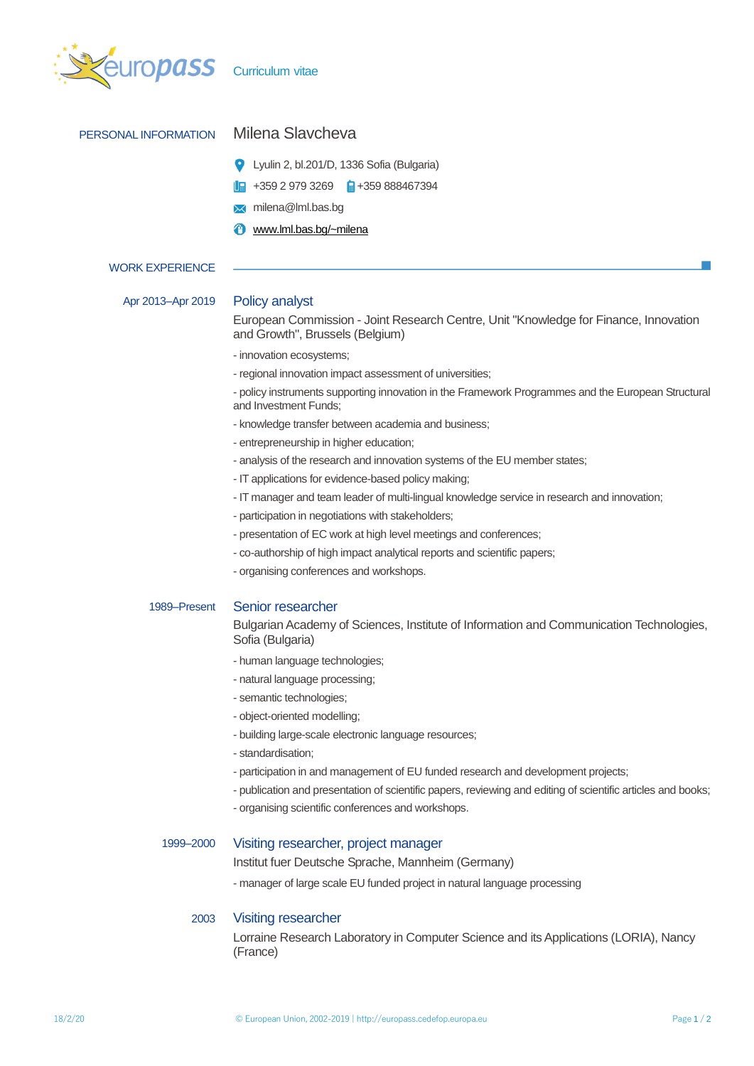

| PERSONAL INFORMATION   | Milena Slavcheva                                                                                                            |  |  |  |  |
|------------------------|-----------------------------------------------------------------------------------------------------------------------------|--|--|--|--|
|                        | Lyulin 2, bl.201/D, 1336 Sofia (Bulgaria)<br>o                                                                              |  |  |  |  |
|                        | $+35929793269$ $+35988467394$                                                                                               |  |  |  |  |
|                        | milena@lml.bas.bg<br>⋈                                                                                                      |  |  |  |  |
|                        | www.lml.bas.bg/~milena                                                                                                      |  |  |  |  |
|                        |                                                                                                                             |  |  |  |  |
| <b>WORK EXPERIENCE</b> |                                                                                                                             |  |  |  |  |
| Apr 2013-Apr 2019      | <b>Policy analyst</b>                                                                                                       |  |  |  |  |
|                        | European Commission - Joint Research Centre, Unit "Knowledge for Finance, Innovation<br>and Growth", Brussels (Belgium)     |  |  |  |  |
|                        | - innovation ecosystems;                                                                                                    |  |  |  |  |
|                        | - regional innovation impact assessment of universities;                                                                    |  |  |  |  |
|                        | - policy instruments supporting innovation in the Framework Programmes and the European Structural<br>and Investment Funds: |  |  |  |  |
|                        | - knowledge transfer between academia and business;                                                                         |  |  |  |  |
|                        | - entrepreneurship in higher education;                                                                                     |  |  |  |  |
|                        | - analysis of the research and innovation systems of the EU member states;                                                  |  |  |  |  |
|                        | - IT applications for evidence-based policy making;                                                                         |  |  |  |  |
|                        | - IT manager and team leader of multi-lingual knowledge service in research and innovation;                                 |  |  |  |  |
|                        | - participation in negotiations with stakeholders;                                                                          |  |  |  |  |
|                        | - presentation of EC work at high level meetings and conferences;                                                           |  |  |  |  |
|                        | - co-authorship of high impact analytical reports and scientific papers;                                                    |  |  |  |  |
|                        | - organising conferences and workshops.                                                                                     |  |  |  |  |
| 1989–Present           | Senior researcher                                                                                                           |  |  |  |  |
|                        | Bulgarian Academy of Sciences, Institute of Information and Communication Technologies,<br>Sofia (Bulgaria)                 |  |  |  |  |
|                        | - human language technologies;                                                                                              |  |  |  |  |
|                        | - natural language processing;                                                                                              |  |  |  |  |
|                        | - semantic technologies;                                                                                                    |  |  |  |  |
|                        | - object-oriented modelling;                                                                                                |  |  |  |  |
|                        | - building large-scale electronic language resources;                                                                       |  |  |  |  |
|                        | - standardisation;                                                                                                          |  |  |  |  |
|                        | - participation in and management of EU funded research and development projects;                                           |  |  |  |  |
|                        | - publication and presentation of scientific papers, reviewing and editing of scientific articles and books;                |  |  |  |  |
|                        | - organising scientific conferences and workshops.                                                                          |  |  |  |  |
|                        |                                                                                                                             |  |  |  |  |

## 1999–2000 Visiting researcher, project manager

Institut fuer Deutsche Sprache, Mannheim (Germany)

- manager of large scale EU funded project in natural language processing

## 2003 Visiting researcher

Lorraine Research Laboratory in Computer Science and its Applications (LORIA), Nancy (France)